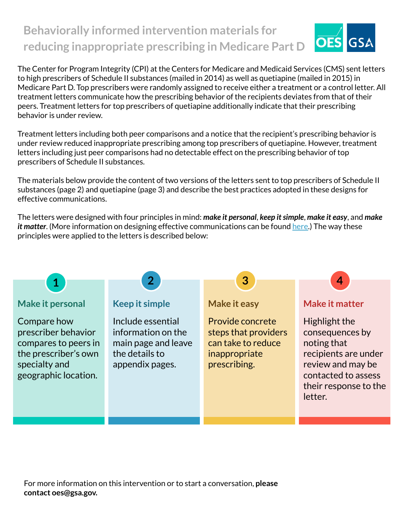# **Behaviorally informed intervention materials for OES reducing inappropriate prescribing in Medicare Part D**

The Center for Program Integrity (CPI) at the Centers for Medicare and Medicaid Services (CMS) sent letters to high prescribers of Schedule II substances (mailed in 2014) as well as quetiapine (mailed in 2015) in Medicare Part D. Top prescribers were randomly assigned to receive either a treatment or a control letter. All treatment letters communicate how the prescribing behavior of the recipients deviates from that of their peers. Treatment letters for top prescribers of quetiapine additionally indicate that their prescribing behavior is under review.

Treatment letters including both peer comparisons and a notice that the recipient's prescribing behavior is under review reduced inappropriate prescribing among top prescribers of quetiapine. However, treatment letters including just peer comparisons had no detectable effect on the prescribing behavior of top prescribers of Schedule II substances.

The materials below provide the content of two versions of the letters sent to top prescribers of Schedule II substances (page 2) and quetiapine (page 3) and describe the best practices adopted in these designs for effective communications.

The letters were designed with four principles in mind: *make it personal*, *keep it simple*, *make it easy*, and *make it matter*. (More information on designing effective communications can be found [here.](https://oes.gsa.gov/assets/abstracts/OES%20Learnings%20on%20Writing%20Better%20Communications%202018.pdf)) The way these principles were applied to the letters is described below:

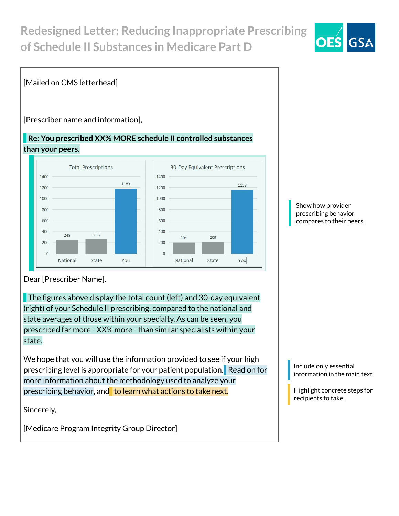# **Redesigned Letter: Reducing Inappropriate Prescribing of Schedule II Substances in Medicare Part D**



### [Mailed on CMS letterhead]

[Prescriber name and information],

#### **Re: You prescribed XX% MORE schedule II controlled substances than your peers.**



Show how provider prescribing behavior compares to their peers.

Dear [Prescriber Name],

The figures above display the total count (left) and 30-day equivalent (right) of your Schedule II prescribing, compared to the national and state averages of those within your specialty. As can be seen, you prescribed far more - XX% more - than similar specialists within your state.

We hope that you will use the information provided to see if your high prescribing level is appropriate for your patient population. Read on for more information about the methodology used to analyze your prescribing behavior, and to learn what actions to take next.

Sincerely,

[Medicare Program Integrity Group Director]

Include only essential information in the main text.

Highlight concrete steps for recipients to take.